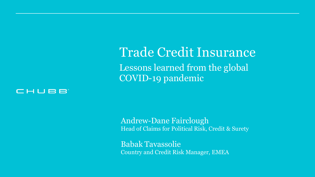Trade Credit Insurance Lessons learned from the global COVID-19 pandemic



Andrew-Dane Fairclough Head of Claims for Political Risk, Credit & Surety

Babak Tavassolie Country and Credit Risk Manager, EMEA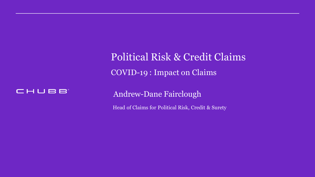Political Risk & Credit Claims COVID-19 : Impact on Claims



Andrew-Dane Fairclough

Head of Claims for Political Risk, Credit & Surety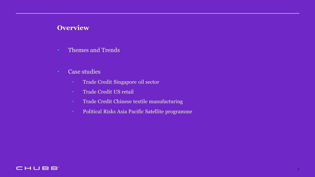#### **Overview**

- Themes and Trends
- Case studies
	- Trade Credit Singapore oil sector
	- Trade Credit US retail
	- Trade Credit Chinese textile manufacturing
	- Political Risks Asia Pacific Satellite programme

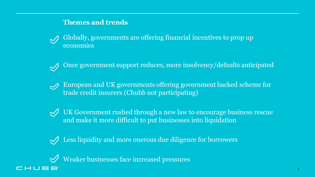#### **Themes and trends**

- Globally, governments are offering financial incentives to prop up economies
- Once government support reduces, more insolvency/defaults anticipated
- European and UK governments offering government backed scheme for trade credit insurers (Chubb not participating)
- 
- $\mathcal{P}$  UK Government rushed through a new law to encourage business rescue and make it more difficult to put businesses into liquidation



Less liquidity and more onerous due diligence for borrowers



 $\mathcal{P}$  Weaker businesses face increased pressures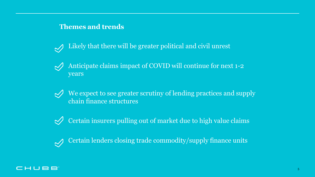#### **Themes and trends**

Likely that there will be greater political and civil unrest  $\sim$ 

- Anticipate claims impact of COVID will continue for next 1-2  $\bigvee$ years
- $\mathcal{P}$  We expect to see greater scrutiny of lending practices and supply chain finance structures

 $\sqrt{\frac{1}{\sqrt{2}}}$  Certain insurers pulling out of market due to high value claims

• Certain lenders closing trade commodity/supply finance units

#### CHUBB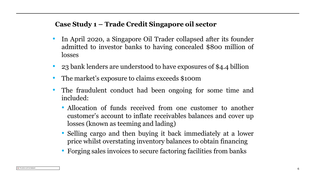### **Case Study 1 – Trade Credit Singapore oil sector**

- In April 2020, a Singapore Oil Trader collapsed after its founder admitted to investor banks to having concealed \$800 million of losses
- 23 bank lenders are understood to have exposures of \$4.4 billion
- The market's exposure to claims exceeds \$100m
- The fraudulent conduct had been ongoing for some time and included:
	- Allocation of funds received from one customer to another customer's account to inflate receivables balances and cover up losses (known as teeming and lading)
	- Selling cargo and then buying it back immediately at a lower price whilst overstating inventory balances to obtain financing
	- Forging sales invoices to secure factoring facilities from banks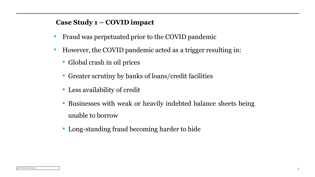#### **Case Study 1 – COVID impact**

- Fraud was perpetuated prior to the COVID pandemic
- However, the COVID pandemic acted as a trigger resulting in:
	- Global crash in oil prices
	- Greater scrutiny by banks of loans/credit facilities
	- Less availability of credit
	- Businesses with weak or heavily indebted balance sheets being unable to borrow
	- Long-standing fraud becoming harder to hide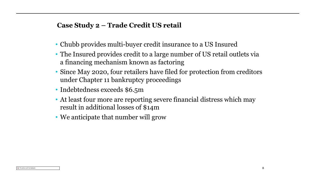#### **Case Study 2 – Trade Credit US retail**

- Chubb provides multi-buyer credit insurance to a US Insured
- The Insured provides credit to a large number of US retail outlets via a financing mechanism known as factoring
- Since May 2020, four retailers have filed for protection from creditors under Chapter 11 bankruptcy proceedings
- Indebtedness exceeds \$6.5m
- At least four more are reporting severe financial distress which may result in additional losses of \$14m
- We anticipate that number will grow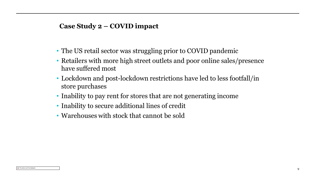#### **Case Study 2 – COVID impact**

- The US retail sector was struggling prior to COVID pandemic
- Retailers with more high street outlets and poor online sales/presence have suffered most
- Lockdown and post-lockdown restrictions have led to less footfall/in store purchases
- Inability to pay rent for stores that are not generating income
- Inability to secure additional lines of credit
- Warehouses with stock that cannot be sold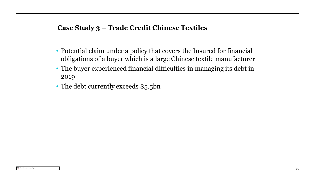#### **Case Study 3 – Trade Credit Chinese Textiles**

- Potential claim under a policy that covers the Insured for financial obligations of a buyer which is a large Chinese textile manufacturer
- The buyer experienced financial difficulties in managing its debt in 2019
- The debt currently exceeds \$5.5bn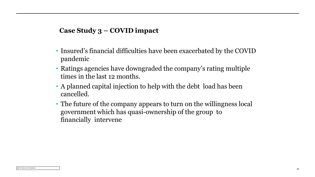#### **Case Study 3 – COVID impact**

- Insured's financial difficulties have been exacerbated by the COVID pandemic
- Ratings agencies have downgraded the company's rating multiple times in the last 12 months.
- A planned capital injection to help with the debt load has been cancelled.
- The future of the company appears to turn on the willingness local government which has quasi-ownership of the group to financially intervene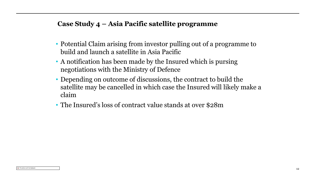#### **Case Study 4 – Asia Pacific satellite programme**

- Potential Claim arising from investor pulling out of a programme to build and launch a satellite in Asia Pacific
- A notification has been made by the Insured which is pursing negotiations with the Ministry of Defence
- Depending on outcome of discussions, the contract to build the satellite may be cancelled in which case the Insured will likely make a claim
- The Insured's loss of contract value stands at over \$28m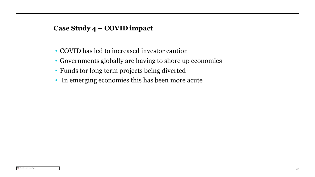#### **Case Study 4 – COVID impact**

- COVID has led to increased investor caution
- Governments globally are having to shore up economies
- Funds for long term projects being diverted
- In emerging economies this has been more acute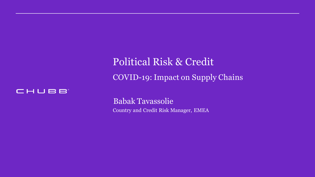Political Risk & Credit COVID-19: Impact on Supply Chains



Babak Tavassolie Country and Credit Risk Manager, EMEA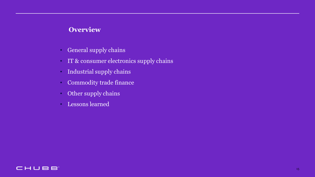### **Overview**

- General supply chains
- IT & consumer electronics supply chains
- Industrial supply chains
- Commodity trade finance
- Other supply chains
- Lessons learned

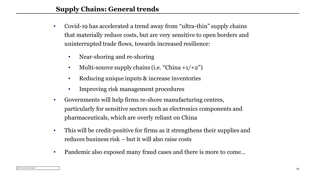- Covid-19 has accelerated a trend away from "ultra-thin" supply chains that materially reduce costs, but are very sensitive to open borders and uninterrupted trade flows, towards increased resilience:
	- Near-shoring and re-shoring
	- Multi-source supply chains (i.e. "China  $+1/2$ ")
	- Reducing unique inputs & increase inventories
	- Improving risk management procedures
- Governments will help firms re-shore manufacturing centres, particularly for sensitive sectors such as electronics components and pharmaceuticals, which are overly reliant on China
- This will be credit-positive for firms as it strengthens their supplies and reduces business risk – but it will also raise costs
- Pandemic also exposed many fraud cases and there is more to come...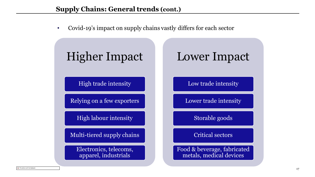• Covid-19's impact on supply chains vastly differs for each sector

# Higher Impact

High trade intensity

Relying on a few exporters

High labour intensity

Multi-tiered supply chains

Electronics, telecoms, apparel, industrials

## Lower Impact

Low trade intensity

Lower trade intensity

Storable goods

Critical sectors

Food & beverage, fabricated metals, medical devices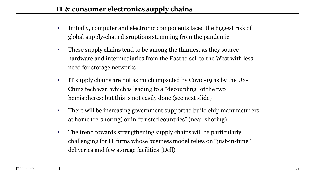- Initially, computer and electronic components faced the biggest risk of global supply-chain disruptions stemming from the pandemic
- These supply chains tend to be among the thinnest as they source hardware and intermediaries from the East to sell to the West with less need for storage networks
- IT supply chains are not as much impacted by Covid-19 as by the US-China tech war, which is leading to a "decoupling" of the two hemispheres: but this is not easily done (see next slide)
- There will be increasing government support to build chip manufacturers at home (re-shoring) or in "trusted countries" (near-shoring)
- The trend towards strengthening supply chains will be particularly challenging for IT firms whose business model relies on "just-in-time" deliveries and few storage facilities (Dell)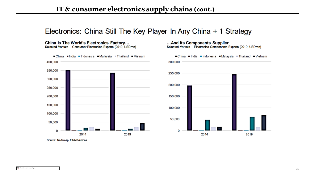## Electronics: China Still The Key Player In Any China + 1 Strategy

China Is The World's Electronics Factory... Selected Markets - Consumer Electronics Exports (2019, USDmn)



...And Its Components Supplier Selected Markets - Electronics Components Exports (2019, USDmn)



Source: Trademap, Fitch Solutions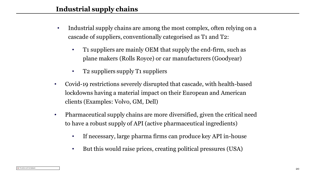- Industrial supply chains are among the most complex, often relying on a cascade of suppliers, conventionally categorised as T1 and T2:
	- T1 suppliers are mainly OEM that supply the end-firm, such as plane makers (Rolls Royce) or car manufacturers (Goodyear)
	- T2 suppliers supply T1 suppliers
- Covid-19 restrictions severely disrupted that cascade, with health-based lockdowns having a material impact on their European and American clients (Examples: Volvo, GM, Dell)
- Pharmaceutical supply chains are more diversified, given the critical need to have a robust supply of API (active pharmaceutical ingredients)
	- If necessary, large pharma firms can produce key API in-house
	- But this would raise prices, creating political pressures (USA)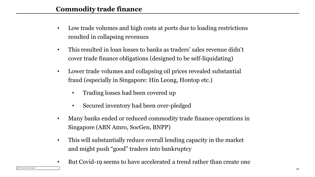- Low trade volumes and high costs at ports due to loading restrictions resulted in collapsing revenues
- This resulted in loan losses to banks as traders' sales revenue didn't cover trade finance obligations (designed to be self-liquidating)
- Lower trade volumes and collapsing oil prices revealed substantial fraud (especially in Singapore: Hin Leong, Hontop etc.)
	- Trading losses had been covered up
	- Secured inventory had been over-pledged
- Many banks ended or reduced commodity trade finance operations in Singapore (ABN Amro, SocGen, BNPP)
- This will substantially reduce overall lending capacity in the market and might push "good" traders into bankruptcy
- But Covid-19 seems to have accelerated a trend rather than create one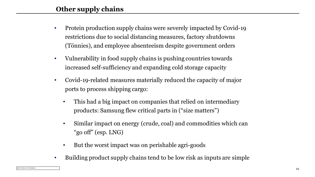## **Other supply chains**

- Protein production supply chains were severely impacted by Covid-19 restrictions due to social distancing measures, factory shutdowns (Tönnies), and employee absenteeism despite government orders
- Vulnerability in food supply chains is pushing countries towards increased self-sufficiency and expanding cold storage capacity
- Covid-19-related measures materially reduced the capacity of major ports to process shipping cargo:
	- This had a big impact on companies that relied on intermediary products: Samsung flew critical parts in ("size matters")
	- Similar impact on energy (crude, coal) and commodities which can "go off" (esp. LNG)
	- But the worst impact was on perishable agri-goods
- Building product supply chains tend to be low risk as inputs are simple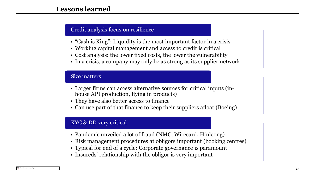#### Credit analysis focus on resilience

- "Cash is King": Liquidity is the most important factor in a crisis
- Working capital management and access to credit is critical
- Cost analysis: the lower fixed costs, the lower the vulnerability
- In a crisis, a company may only be as strong as its supplier network

#### Size matters

- Larger firms can access alternative sources for critical inputs (inhouse API production, flying in products)
- They have also better access to finance
- Can use part of that finance to keep their suppliers afloat (Boeing)

#### KYC & DD very critical

- Pandemic unveiled a lot of fraud (NMC, Wirecard, Hinleong)
- Risk management procedures at obligors important (booking centres)
- Typical for end of a cycle: Corporate governance is paramount
- Insureds' relationship with the obligor is very important